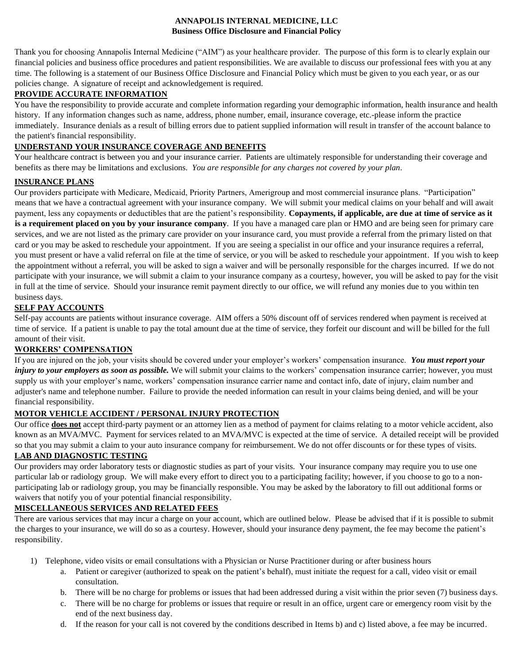### **ANNAPOLIS INTERNAL MEDICINE, LLC Business Office Disclosure and Financial Policy**

Thank you for choosing Annapolis Internal Medicine ("AIM") as your healthcare provider. The purpose of this form is to clearly explain our financial policies and business office procedures and patient responsibilities. We are available to discuss our professional fees with you at any time. The following is a statement of our Business Office Disclosure and Financial Policy which must be given to you each year, or as our policies change. A signature of receipt and acknowledgement is required.

## **PROVIDE ACCURATE INFORMATION**

You have the responsibility to provide accurate and complete information regarding your demographic information, health insurance and health history. If any information changes such as name, address, phone number, email, insurance coverage, etc.-please inform the practice immediately. Insurance denials as a result of billing errors due to patient supplied information will result in transfer of the account balance to the patient's financial responsibility.

# **UNDERSTAND YOUR INSURANCE COVERAGE AND BENEFITS**

Your healthcare contract is between you and your insurance carrier. Patients are ultimately responsible for understanding their coverage and benefits as there may be limitations and exclusions. *You are responsible for any charges not covered by your plan*.

## **INSURANCE PLANS**

Our providers participate with Medicare, Medicaid, Priority Partners, Amerigroup and most commercial insurance plans. "Participation" means that we have a contractual agreement with your insurance company. We will submit your medical claims on your behalf and will await payment, less any copayments or deductibles that are the patient's responsibility. **Copayments, if applicable, are due at time of service as it is a requirement placed on you by your insurance company**. If you have a managed care plan or HMO and are being seen for primary care services, and we are not listed as the primary care provider on your insurance card, you must provide a referral from the primary listed on that card or you may be asked to reschedule your appointment. If you are seeing a specialist in our office and your insurance requires a referral, you must present or have a valid referral on file at the time of service, or you will be asked to reschedule your appointment. If you wish to keep the appointment without a referral, you will be asked to sign a waiver and will be personally responsible for the charges incurred. If we do not participate with your insurance, we will submit a claim to your insurance company as a courtesy, however, you will be asked to pay for the visit in full at the time of service. Should your insurance remit payment directly to our office, we will refund any monies due to you within ten business days.

# **SELF PAY ACCOUNTS**

Self-pay accounts are patients without insurance coverage. AIM offers a 50% discount off of services rendered when payment is received at time of service. If a patient is unable to pay the total amount due at the time of service, they forfeit our discount and will be billed for the full amount of their visit.

# **WORKERS' COMPENSATION**

If you are injured on the job, your visits should be covered under your employer's workers' compensation insurance. *You must report your injury to your employers as soon as possible*. We will submit your claims to the workers' compensation insurance carrier; however, you must supply us with your employer's name, workers' compensation insurance carrier name and contact info, date of injury, claim number and adjuster's name and telephone number. Failure to provide the needed information can result in your claims being denied, and will be your financial responsibility.

## **MOTOR VEHICLE ACCIDENT / PERSONAL INJURY PROTECTION**

Our office **does not** accept third-party payment or an attorney lien as a method of payment for claims relating to a motor vehicle accident, also known as an MVA/MVC. Payment for services related to an MVA/MVC is expected at the time of service. A detailed receipt will be provided so that you may submit a claim to your auto insurance company for reimbursement. We do not offer discounts or for these types of visits.

# **LAB AND DIAGNOSTIC TESTING**

Our providers may order laboratory tests or diagnostic studies as part of your visits. Your insurance company may require you to use one particular lab or radiology group. We will make every effort to direct you to a participating facility; however, if you choose to go to a nonparticipating lab or radiology group, you may be financially responsible. You may be asked by the laboratory to fill out additional forms or waivers that notify you of your potential financial responsibility.

## **MISCELLANEOUS SERVICES AND RELATED FEES**

There are various services that may incur a charge on your account, which are outlined below. Please be advised that if it is possible to submit the charges to your insurance, we will do so as a courtesy. However, should your insurance deny payment, the fee may become the patient's responsibility.

- 1) Telephone, video visits or email consultations with a Physician or Nurse Practitioner during or after business hours
	- a. Patient or caregiver (authorized to speak on the patient's behalf), must initiate the request for a call, video visit or email consultation.
	- b. There will be no charge for problems or issues that had been addressed during a visit within the prior seven (7) business days.
	- c. There will be no charge for problems or issues that require or result in an office, urgent care or emergency room visit by the end of the next business day.
	- d. If the reason for your call is not covered by the conditions described in Items b) and c) listed above, a fee may be incurred.